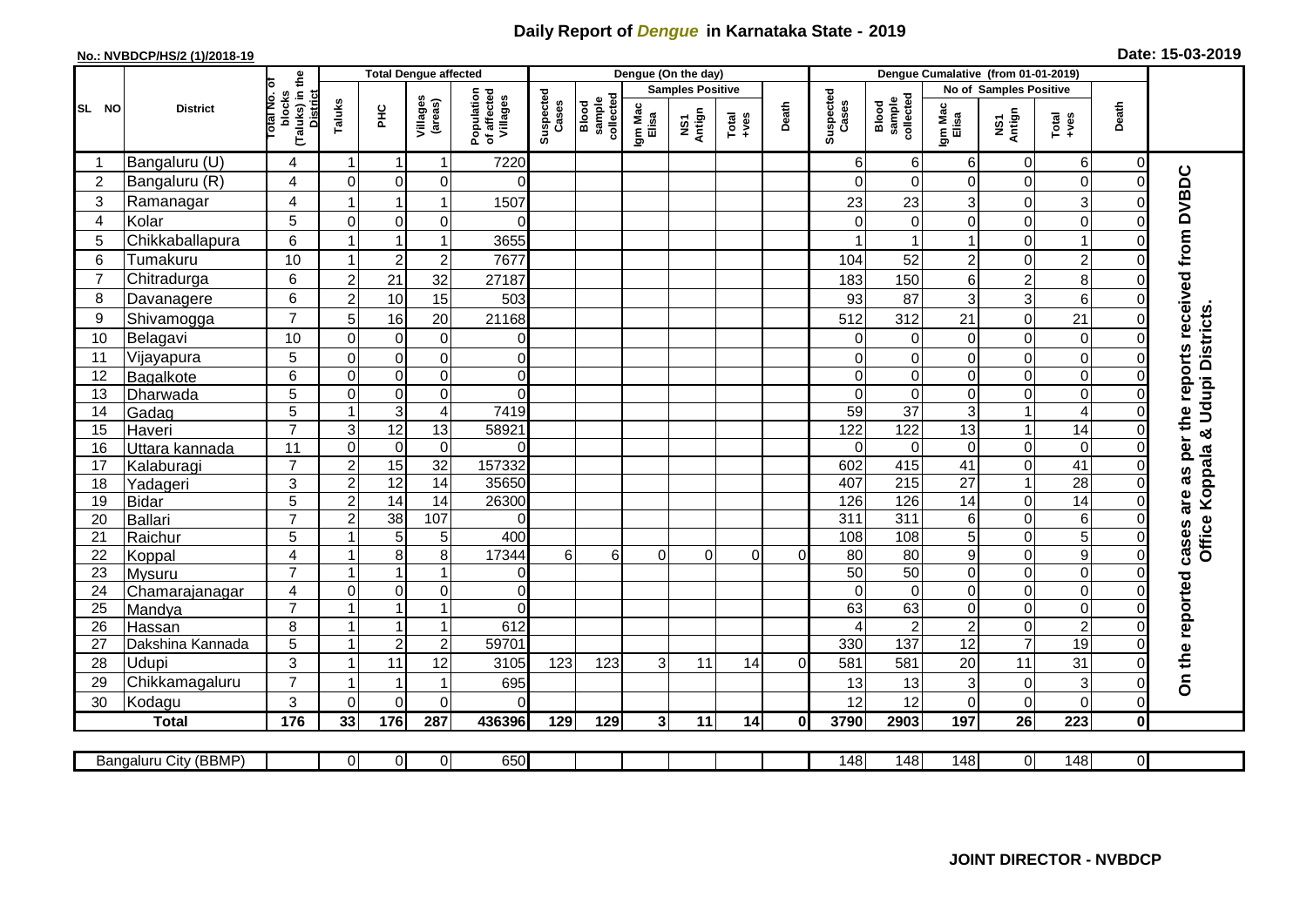## **Daily Report of** *Dengue* **in Karnataka State - 2019**

## **No.: NVBDCP/HS/2 (1)/2018-19 Date: 15-03-2019**

|                | <b>District</b>            |                                                      |                      | <b>Total Dengue affected</b> |                                  |                                       |                    |                              |                         | Dengue (On the day) |                  |          |                    |                              |                                   |                        |                                  |                               |                                                  |
|----------------|----------------------------|------------------------------------------------------|----------------------|------------------------------|----------------------------------|---------------------------------------|--------------------|------------------------------|-------------------------|---------------------|------------------|----------|--------------------|------------------------------|-----------------------------------|------------------------|----------------------------------|-------------------------------|--------------------------------------------------|
| SL NO          |                            |                                                      |                      |                              |                                  |                                       | Suspected<br>Cases |                              | <b>Samples Positive</b> |                     |                  |          |                    |                              |                                   | No of Samples Positive |                                  |                               |                                                  |
|                |                            | (Taluks) in the<br>District<br>otal No. ol<br>blocks | Taluks               | ЭHС                          | Villages<br>(areas)              | Population<br>of affected<br>Villages |                    | Blood<br>sample<br>collected | Igm Mac<br>Elisa        | NS1<br>Antign       | Total<br>$+ve$ s | Death    | Suspected<br>Cases | collected<br>sample<br>Blood | Igm Mac<br>Elisa                  | NS1<br>Antign          | $Total$                          | Death                         |                                                  |
|                | Bangaluru (U)              | 4                                                    | $\blacktriangleleft$ | -1                           | $\mathbf{1}$                     | 7220                                  |                    |                              |                         |                     |                  |          | 6                  | 6                            | 6                                 | 0                      | $6 \mid$                         | 0                             |                                                  |
| $\overline{2}$ | Bangaluru (R)              | 4                                                    | $\Omega$             | $\mathbf 0$                  | $\mathbf 0$                      | $\Omega$                              |                    |                              |                         |                     |                  |          | O                  | $\Omega$                     | $\Omega$                          | 0                      | $\mathbf 0$                      | $\Omega$                      |                                                  |
| 3              | Ramanagar                  | $\overline{4}$                                       |                      | $\overline{1}$               | $\mathbf{1}$                     | 1507                                  |                    |                              |                         |                     |                  |          | 23                 | 23                           | 3                                 | 0                      | 3                                | $\mathcal{C}$                 | cases are as per the reports received from DVBDC |
| $\overline{4}$ | Kolar                      | 5                                                    | $\mathbf 0$          | $\mathbf 0$                  | $\mathbf 0$                      | $\Omega$                              |                    |                              |                         |                     |                  |          | $\Omega$           | $\mathbf 0$                  | 0                                 | 0                      | $\overline{0}$                   | $\mathbf 0$                   |                                                  |
| 5              | Chikkaballapura            | 6                                                    |                      |                              | $\mathbf{1}$                     | 3655                                  |                    |                              |                         |                     |                  |          |                    |                              |                                   | 0                      | $\mathbf{1}$                     | 0                             |                                                  |
| 6              | Tumakuru                   | 10                                                   |                      | $\overline{2}$               | $\overline{c}$                   | 7677                                  |                    |                              |                         |                     |                  |          | 104                | 52                           | $\overline{c}$                    | 0                      | $\overline{c}$                   | $\Omega$                      |                                                  |
| $\overline{7}$ | Chitradurga                | 6                                                    | $\overline{2}$       | 21                           | 32                               | 27187                                 |                    |                              |                         |                     |                  |          | 183                | 150                          | 6                                 | $\overline{c}$         | 8                                | $\Omega$                      |                                                  |
| 8              | Davanagere                 | 6                                                    | $\overline{2}$       | 10                           | 15                               | 503                                   |                    |                              |                         |                     |                  |          | 93                 | 87                           | 3                                 | 3                      | $\,6$                            | $\mathbf 0$                   |                                                  |
| 9              | Shivamogga                 | $\overline{7}$                                       | 5                    | 16                           | 20                               | 21168                                 |                    |                              |                         |                     |                  |          | 512                | 312                          | 21                                | 0                      | 21                               | $\Omega$                      | & Udupi Districts.                               |
| 10             | Belagavi                   | 10                                                   | $\mathbf 0$          | $\mathbf 0$                  | $\pmb{0}$                        | $\overline{0}$                        |                    |                              |                         |                     |                  |          | $\Omega$           | $\Omega$                     | 0                                 | 0                      | $\mathbf 0$                      | $\Omega$                      |                                                  |
| 11             | Vijayapura                 | 5                                                    | $\mathbf 0$          | $\mathbf 0$                  | $\mathsf 0$                      | $\overline{0}$                        |                    |                              |                         |                     |                  |          | $\Omega$           | $\Omega$                     | 0                                 | 0                      | o                                | $\Omega$                      |                                                  |
| 12             | Bagalkote                  | 6                                                    | $\mathbf 0$          | $\pmb{0}$                    | $\overline{0}$                   | $\overline{0}$                        |                    |                              |                         |                     |                  |          | $\Omega$           | $\Omega$                     | $\mathbf 0$                       | 0                      | O                                | $\mathbf 0$                   |                                                  |
| 13             | Dharwada                   | 5                                                    | $\Omega$             | $\mathbf 0$                  | $\overline{0}$                   | $\Omega$                              |                    |                              |                         |                     |                  |          | $\Omega$           | $\Omega$                     | $\Omega$                          | 0                      | 0                                | $\Omega$                      |                                                  |
| 14             | Gadag                      | $\overline{5}$                                       | -1                   | $\overline{3}$               | $\overline{\mathbf{4}}$          | 7419                                  |                    |                              |                         |                     |                  |          | 59                 | $\overline{37}$              | $\mathsf 3$                       | $\mathbf{1}$           | $\overline{4}$                   | $\Omega$                      |                                                  |
| 15             | Haveri                     | $\overline{7}$                                       | 3                    | $\overline{12}$              | $\overline{13}$                  | 58921                                 |                    |                              |                         |                     |                  |          | 122                | 122                          | 13                                | $\mathbf{1}$           | 14                               | $\Omega$                      |                                                  |
| 16             | Uttara kannada             | 11                                                   | $\mathbf 0$          | $\mathbf 0$                  | $\overline{0}$                   | $\Omega$                              |                    |                              |                         |                     |                  |          | $\Omega$           | $\Omega$                     | $\Omega$                          | 0                      | $\overline{0}$                   | $\Omega$                      |                                                  |
| 17             | Kalaburagi                 | $\overline{7}$                                       | $\overline{2}$       | 15                           | $\overline{32}$                  | 157332                                |                    |                              |                         |                     |                  |          | 602                | 415                          | 41                                | 0                      | $\overline{41}$                  | $\Omega$                      |                                                  |
| 18             | Yadageri                   | 3                                                    | $\overline{c}$       | 12                           | 14                               | 35650                                 |                    |                              |                         |                     |                  |          | 407                | 215                          | 27                                | $\mathbf{1}$           | 28                               | $\Omega$                      |                                                  |
| 19             | <b>Bidar</b>               | 5                                                    | $\boldsymbol{2}$     | 14                           | 14                               | 26300                                 |                    |                              |                         |                     |                  |          | 126                | 126                          | 14                                | 0                      | 14                               | $\mathbf 0$                   |                                                  |
| 20             | Ballari                    | $\overline{7}$                                       | $\overline{2}$       | $\overline{38}$              | 107                              | $\Omega$                              |                    |                              |                         |                     |                  |          | $\overline{311}$   | $\overline{311}$             | 6                                 | 0                      | $\overline{6}$                   | $\Omega$                      |                                                  |
| 21             | Raichur                    | 5                                                    |                      | 5                            | $\sqrt{5}$                       | 400                                   |                    |                              |                         |                     |                  |          | 108                | 108                          | 5                                 | 0                      | $\overline{5}$                   | $\mathbf 0$                   | Office Koppala                                   |
| 22             | Koppal                     | 4                                                    |                      | 8                            | 8                                | 17344                                 | 6                  | 6                            | $\Omega$                | $\Omega$            | $\Omega$         | $\Omega$ | 80                 | 80                           | 9                                 | $\mathbf 0$            | 9                                | $\overline{0}$                |                                                  |
| 23             | <b>Mysuru</b>              | $\overline{7}$                                       | -1                   | $\overline{1}$               | $\mathbf{1}$                     | $\Omega$                              |                    |                              |                         |                     |                  |          | 50                 | 50                           | 0                                 | 0                      | $\overline{0}$                   | $\mathbf 0$                   |                                                  |
| 24             | Chamarajanagar             | 4<br>$\overline{7}$                                  | $\mathbf 0$          | $\pmb{0}$<br>$\overline{1}$  | $\overline{0}$<br>$\overline{1}$ | $\overline{0}$                        |                    |                              |                         |                     |                  |          | $\Omega$           | $\mathbf 0$                  | $\mathbf 0$                       | 0                      | $\overline{0}$                   | $\mathbf 0$                   |                                                  |
| 25             | Mandya                     |                                                      | $\overline{ }$       | $\overline{1}$               | $\mathbf{1}$                     | $\overline{0}$                        |                    |                              |                         |                     |                  |          | 63                 | 63<br>2                      | $\mathsf 0$                       | 0                      | $\overline{0}$<br>$\overline{a}$ | $\mathbf 0$                   |                                                  |
| 26<br>27       | Hassan<br>Dakshina Kannada | 8<br>5                                               | $\overline{1}$       | $\overline{2}$               | $\sqrt{2}$                       | 612<br>59701                          |                    |                              |                         |                     |                  |          | 330                | 137                          | $\overline{c}$<br>$\overline{12}$ | 0<br>$\overline{7}$    | 19                               | $\mathbf 0$<br>$\overline{0}$ |                                                  |
| 28             | Udupi                      | 3                                                    | -1                   | 11                           | 12                               | 3105                                  | 123                | 123                          | 3                       | 11                  |                  | $\Omega$ | 581                | 581                          | 20                                | 11                     | 31                               | $\Omega$                      |                                                  |
| 29             | Chikkamagaluru             | $\overline{7}$                                       |                      |                              | -1                               | 695                                   |                    |                              |                         |                     | 14               |          | 13                 | 13                           | 3                                 | $\mathbf 0$            | $\overline{3}$                   | $\Omega$                      | On the reported                                  |
| 30             | Kodagu                     | 3                                                    | $\Omega$             | $\Omega$                     | $\mathbf 0$                      | $\Omega$                              |                    |                              |                         |                     |                  |          | 12                 | 12                           | $\Omega$                          | 0                      | $\overline{0}$                   | $\Omega$                      |                                                  |
|                | <b>Total</b>               | 176                                                  | 33                   | 176                          | 287                              | 436396                                | 129                | 129                          | 3 <sup>1</sup>          | 11                  | 14               | 0        | 3790               | 2903                         | 197                               | 26                     | $\overline{223}$                 | $\bf{0}$                      |                                                  |
|                |                            |                                                      |                      |                              |                                  |                                       |                    |                              |                         |                     |                  |          |                    |                              |                                   |                        |                                  |                               |                                                  |
|                | Bangaluru City (BBMP)      |                                                      | $\overline{0}$       | $\overline{0}$               | $\overline{0}$                   | 650                                   |                    |                              |                         |                     |                  |          | $\overline{148}$   | $\overline{148}$             | 148                               | $\overline{0}$         | 148                              | $\overline{0}$                |                                                  |